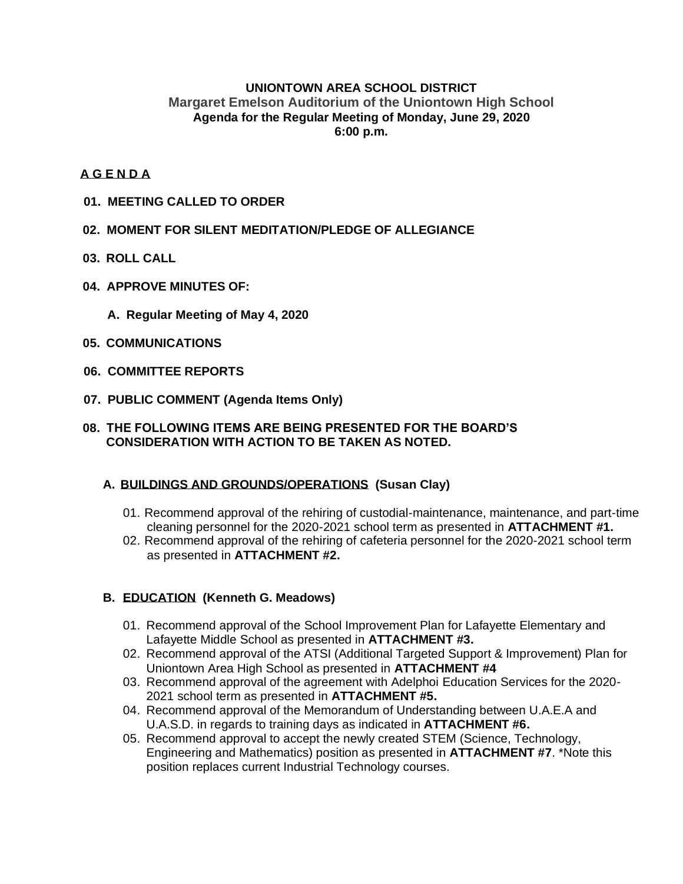## **UNIONTOWN AREA SCHOOL DISTRICT Margaret Emelson Auditorium of the Uniontown High School Agenda for the Regular Meeting of Monday, June 29, 2020 6:00 p.m.**

## **A G E N D A**

- **01. MEETING CALLED TO ORDER**
- **02. MOMENT FOR SILENT MEDITATION/PLEDGE OF ALLEGIANCE**
- **03. ROLL CALL**
- **04. APPROVE MINUTES OF:**
	- **A. Regular Meeting of May 4, 2020**
- **05. COMMUNICATIONS**
- **06. COMMITTEE REPORTS**
- **07. PUBLIC COMMENT (Agenda Items Only)**

#### **08. THE FOLLOWING ITEMS ARE BEING PRESENTED FOR THE BOARD'S CONSIDERATION WITH ACTION TO BE TAKEN AS NOTED.**

## **A. BUILDINGS AND GROUNDS/OPERATIONS (Susan Clay)**

- 01. Recommend approval of the rehiring of custodial-maintenance, maintenance, and part-time cleaning personnel for the 2020-2021 school term as presented in **ATTACHMENT #1.**
- 02. Recommend approval of the rehiring of cafeteria personnel for the 2020-2021 school term as presented in **ATTACHMENT #2.**

## **B. EDUCATION (Kenneth G. Meadows)**

- 01. Recommend approval of the School Improvement Plan for Lafayette Elementary and Lafayette Middle School as presented in **ATTACHMENT #3.**
- 02. Recommend approval of the ATSI (Additional Targeted Support & Improvement) Plan for Uniontown Area High School as presented in **ATTACHMENT #4**
- 03. Recommend approval of the agreement with Adelphoi Education Services for the 2020- 2021 school term as presented in **ATTACHMENT #5.**
- 04. Recommend approval of the Memorandum of Understanding between U.A.E.A and U.A.S.D. in regards to training days as indicated in **ATTACHMENT #6.**
- 05. Recommend approval to accept the newly created STEM (Science, Technology, Engineering and Mathematics) position as presented in **ATTACHMENT #7**. \*Note this position replaces current Industrial Technology courses.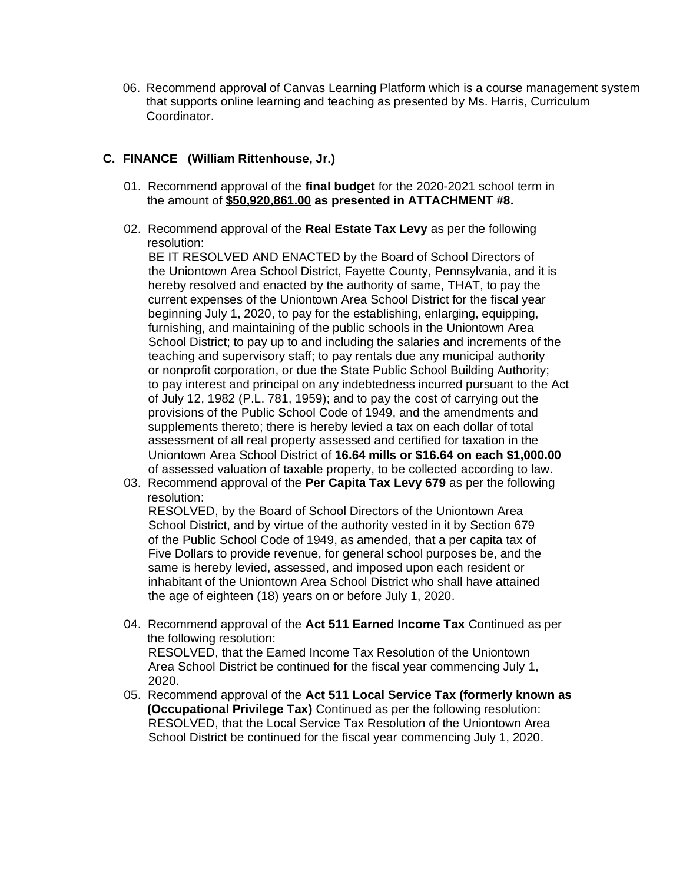06. Recommend approval of Canvas Learning Platform which is a course management system that supports online learning and teaching as presented by Ms. Harris, Curriculum Coordinator.

## **C. FINANCE (William Rittenhouse, Jr.)**

- 01. Recommend approval of the **final budget** for the 2020-2021 school term in the amount of **\$50,920,861.00 as presented in ATTACHMENT #8.**
- 02. Recommend approval of the **Real Estate Tax Levy** as per the following resolution:

 BE IT RESOLVED AND ENACTED by the Board of School Directors of the Uniontown Area School District, Fayette County, Pennsylvania, and it is hereby resolved and enacted by the authority of same, THAT, to pay the current expenses of the Uniontown Area School District for the fiscal year beginning July 1, 2020, to pay for the establishing, enlarging, equipping, furnishing, and maintaining of the public schools in the Uniontown Area School District; to pay up to and including the salaries and increments of the teaching and supervisory staff; to pay rentals due any municipal authority or nonprofit corporation, or due the State Public School Building Authority; to pay interest and principal on any indebtedness incurred pursuant to the Act of July 12, 1982 (P.L. 781, 1959); and to pay the cost of carrying out the provisions of the Public School Code of 1949, and the amendments and supplements thereto; there is hereby levied a tax on each dollar of total assessment of all real property assessed and certified for taxation in the Uniontown Area School District of **16.64 mills or \$16.64 on each \$1,000.00** of assessed valuation of taxable property, to be collected according to law.

03. Recommend approval of the **Per Capita Tax Levy 679** as per the following resolution:

 RESOLVED, by the Board of School Directors of the Uniontown Area School District, and by virtue of the authority vested in it by Section 679 of the Public School Code of 1949, as amended, that a per capita tax of Five Dollars to provide revenue, for general school purposes be, and the same is hereby levied, assessed, and imposed upon each resident or inhabitant of the Uniontown Area School District who shall have attained the age of eighteen (18) years on or before July 1, 2020.

- 04. Recommend approval of the **Act 511 Earned Income Tax** Continued as per the following resolution: RESOLVED, that the Earned Income Tax Resolution of the Uniontown Area School District be continued for the fiscal year commencing July 1, 2020.
- 05. Recommend approval of the **Act 511 Local Service Tax (formerly known as (Occupational Privilege Tax)** Continued as per the following resolution: RESOLVED, that the Local Service Tax Resolution of the Uniontown Area School District be continued for the fiscal year commencing July 1, 2020.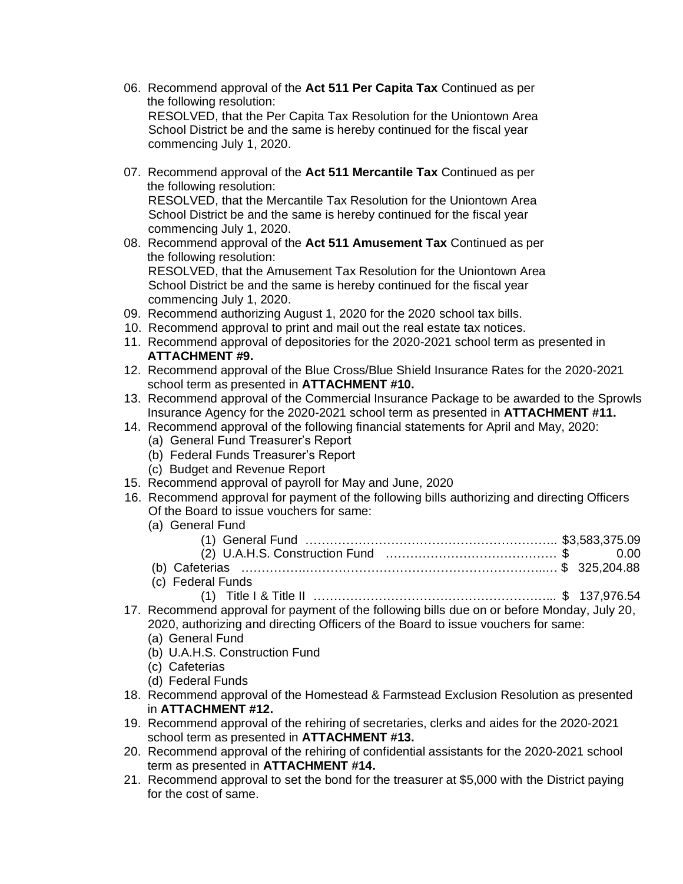- 06. Recommend approval of the **Act 511 Per Capita Tax** Continued as per the following resolution: RESOLVED, that the Per Capita Tax Resolution for the Uniontown Area School District be and the same is hereby continued for the fiscal year commencing July 1, 2020.
- 07. Recommend approval of the **Act 511 Mercantile Tax** Continued as per the following resolution: RESOLVED, that the Mercantile Tax Resolution for the Uniontown Area School District be and the same is hereby continued for the fiscal year
- commencing July 1, 2020. 08. Recommend approval of the **Act 511 Amusement Tax** Continued as per the following resolution: RESOLVED, that the Amusement Tax Resolution for the Uniontown Area

 School District be and the same is hereby continued for the fiscal year commencing July 1, 2020.

- 09. Recommend authorizing August 1, 2020 for the 2020 school tax bills.
- 10. Recommend approval to print and mail out the real estate tax notices.
- 11. Recommend approval of depositories for the 2020-2021 school term as presented in **ATTACHMENT #9.**
- 12. Recommend approval of the Blue Cross/Blue Shield Insurance Rates for the 2020-2021 school term as presented in **ATTACHMENT #10.**
- 13. Recommend approval of the Commercial Insurance Package to be awarded to the Sprowls Insurance Agency for the 2020-2021 school term as presented in **ATTACHMENT #11.**
- 14. Recommend approval of the following financial statements for April and May, 2020:
	- (a) General Fund Treasurer's Report
	- (b) Federal Funds Treasurer's Report
	- (c) Budget and Revenue Report
- 15. Recommend approval of payroll for May and June, 2020
- 16. Recommend approval for payment of the following bills authorizing and directing Officers Of the Board to issue vouchers for same:
	- (a) General Fund

| $(9)$ solional is and |      |
|-----------------------|------|
|                       |      |
|                       | 0.00 |
|                       |      |
| (c) Federal Funds     |      |

- (1) Title I & Title II …………………………………………………... \$ 137,976.54
- 17. Recommend approval for payment of the following bills due on or before Monday, July 20, 2020, authorizing and directing Officers of the Board to issue vouchers for same:
	- (a) General Fund
	- (b) U.A.H.S. Construction Fund
	- (c) Cafeterias
	- (d) Federal Funds
- 18. Recommend approval of the Homestead & Farmstead Exclusion Resolution as presented in **ATTACHMENT #12.**
- 19. Recommend approval of the rehiring of secretaries, clerks and aides for the 2020-2021 school term as presented in **ATTACHMENT #13.**
- 20. Recommend approval of the rehiring of confidential assistants for the 2020-2021 school term as presented in **ATTACHMENT #14.**
- 21. Recommend approval to set the bond for the treasurer at \$5,000 with the District paying for the cost of same.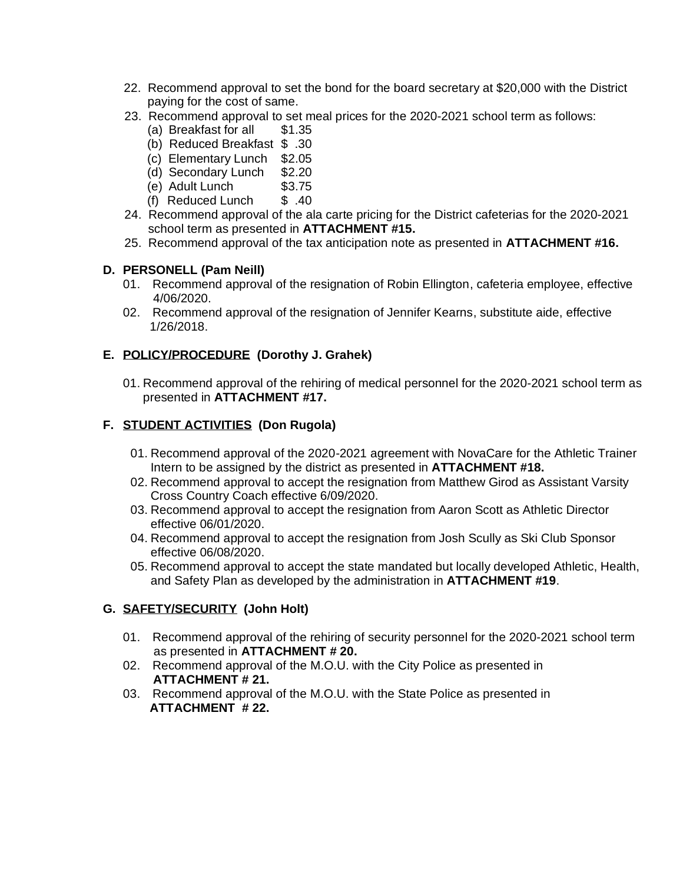- 22. Recommend approval to set the bond for the board secretary at \$20,000 with the District paying for the cost of same.
- 23. Recommend approval to set meal prices for the 2020-2021 school term as follows:
	- (a) Breakfast for all \$1.35
	- (b) Reduced Breakfast \$ .30
	- (c) Elementary Lunch \$2.05
	- (d) Secondary Lunch \$2.20
	- (e) Adult Lunch \$3.75
	- (f) Reduced Lunch  $\$\;.40$
- 24. Recommend approval of the ala carte pricing for the District cafeterias for the 2020-2021 school term as presented in **ATTACHMENT #15.**
- 25. Recommend approval of the tax anticipation note as presented in **ATTACHMENT #16.**

# **D. PERSONELL (Pam Neill)**

- 01. Recommend approval of the resignation of Robin Ellington, cafeteria employee, effective 4/06/2020.
- 02. Recommend approval of the resignation of Jennifer Kearns, substitute aide, effective 1/26/2018.

# **E. POLICY/PROCEDURE (Dorothy J. Grahek)**

01. Recommend approval of the rehiring of medical personnel for the 2020-2021 school term as presented in **ATTACHMENT #17.**

# **F. STUDENT ACTIVITIES (Don Rugola)**

- 01. Recommend approval of the 2020-2021 agreement with NovaCare for the Athletic Trainer Intern to be assigned by the district as presented in **ATTACHMENT #18.**
- 02. Recommend approval to accept the resignation from Matthew Girod as Assistant Varsity Cross Country Coach effective 6/09/2020.
- 03. Recommend approval to accept the resignation from Aaron Scott as Athletic Director effective 06/01/2020.
- 04. Recommend approval to accept the resignation from Josh Scully as Ski Club Sponsor effective 06/08/2020.
- 05. Recommend approval to accept the state mandated but locally developed Athletic, Health, and Safety Plan as developed by the administration in **ATTACHMENT #19**.

## **G. SAFETY/SECURITY (John Holt)**

- 01. Recommend approval of the rehiring of security personnel for the 2020-2021 school term as presented in **ATTACHMENT # 20.**
- 02. Recommend approval of the M.O.U. with the City Police as presented in **ATTACHMENT # 21.**
- 03. Recommend approval of the M.O.U. with the State Police as presented in **ATTACHMENT # 22.**